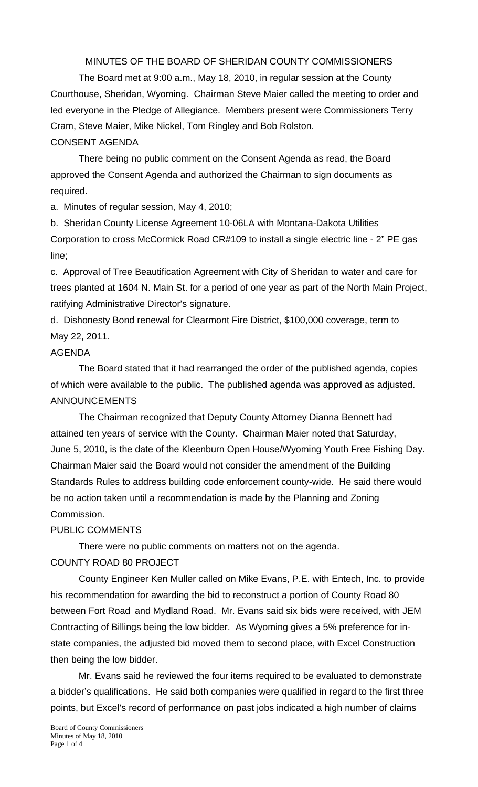MINUTES OF THE BOARD OF SHERIDAN COUNTY COMMISSIONERS

 The Board met at 9:00 a.m., May 18, 2010, in regular session at the County Courthouse, Sheridan, Wyoming. Chairman Steve Maier called the meeting to order and led everyone in the Pledge of Allegiance. Members present were Commissioners Terry Cram, Steve Maier, Mike Nickel, Tom Ringley and Bob Rolston. CONSENT AGENDA

There being no public comment on the Consent Agenda as read, the Board approved the Consent Agenda and authorized the Chairman to sign documents as required.

a. Minutes of regular session, May 4, 2010;

b. Sheridan County License Agreement 10-06LA with Montana-Dakota Utilities Corporation to cross McCormick Road CR#109 to install a single electric line - 2" PE gas line;

c. Approval of Tree Beautification Agreement with City of Sheridan to water and care for trees planted at 1604 N. Main St. for a period of one year as part of the North Main Project, ratifying Administrative Director's signature.

d. Dishonesty Bond renewal for Clearmont Fire District, \$100,000 coverage, term to May 22, 2011.

AGENDA

The Board stated that it had rearranged the order of the published agenda, copies of which were available to the public. The published agenda was approved as adjusted. ANNOUNCEMENTS

 The Chairman recognized that Deputy County Attorney Dianna Bennett had attained ten years of service with the County. Chairman Maier noted that Saturday, June 5, 2010, is the date of the Kleenburn Open House/Wyoming Youth Free Fishing Day. Chairman Maier said the Board would not consider the amendment of the Building Standards Rules to address building code enforcement county-wide. He said there would be no action taken until a recommendation is made by the Planning and Zoning Commission.

## PUBLIC COMMENTS

 There were no public comments on matters not on the agenda. COUNTY ROAD 80 PROJECT

 County Engineer Ken Muller called on Mike Evans, P.E. with Entech, Inc. to provide his recommendation for awarding the bid to reconstruct a portion of County Road 80 between Fort Road and Mydland Road. Mr. Evans said six bids were received, with JEM Contracting of Billings being the low bidder. As Wyoming gives a 5% preference for instate companies, the adjusted bid moved them to second place, with Excel Construction then being the low bidder.

Mr. Evans said he reviewed the four items required to be evaluated to demonstrate a bidder's qualifications. He said both companies were qualified in regard to the first three points, but Excel's record of performance on past jobs indicated a high number of claims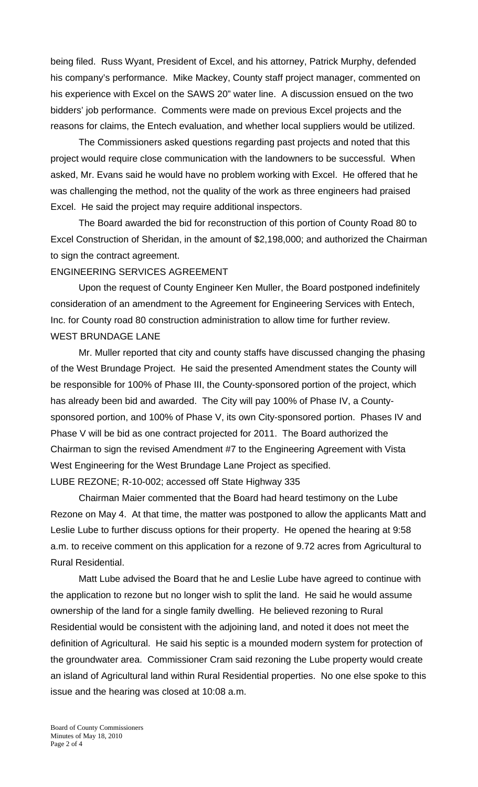being filed. Russ Wyant, President of Excel, and his attorney, Patrick Murphy, defended his company's performance. Mike Mackey, County staff project manager, commented on his experience with Excel on the SAWS 20" water line. A discussion ensued on the two bidders' job performance. Comments were made on previous Excel projects and the reasons for claims, the Entech evaluation, and whether local suppliers would be utilized.

 The Commissioners asked questions regarding past projects and noted that this project would require close communication with the landowners to be successful. When asked, Mr. Evans said he would have no problem working with Excel. He offered that he was challenging the method, not the quality of the work as three engineers had praised Excel. He said the project may require additional inspectors.

 The Board awarded the bid for reconstruction of this portion of County Road 80 to Excel Construction of Sheridan, in the amount of \$2,198,000; and authorized the Chairman to sign the contract agreement.

## ENGINEERING SERVICES AGREEMENT

 Upon the request of County Engineer Ken Muller, the Board postponed indefinitely consideration of an amendment to the Agreement for Engineering Services with Entech, Inc. for County road 80 construction administration to allow time for further review. WEST BRUNDAGE LANE

 Mr. Muller reported that city and county staffs have discussed changing the phasing of the West Brundage Project. He said the presented Amendment states the County will be responsible for 100% of Phase III, the County-sponsored portion of the project, which has already been bid and awarded. The City will pay 100% of Phase IV, a Countysponsored portion, and 100% of Phase V, its own City-sponsored portion. Phases IV and Phase V will be bid as one contract projected for 2011. The Board authorized the Chairman to sign the revised Amendment #7 to the Engineering Agreement with Vista West Engineering for the West Brundage Lane Project as specified. LUBE REZONE; R-10-002; accessed off State Highway 335

 Chairman Maier commented that the Board had heard testimony on the Lube Rezone on May 4. At that time, the matter was postponed to allow the applicants Matt and Leslie Lube to further discuss options for their property. He opened the hearing at 9:58 a.m. to receive comment on this application for a rezone of 9.72 acres from Agricultural to Rural Residential.

 Matt Lube advised the Board that he and Leslie Lube have agreed to continue with the application to rezone but no longer wish to split the land. He said he would assume ownership of the land for a single family dwelling. He believed rezoning to Rural Residential would be consistent with the adjoining land, and noted it does not meet the definition of Agricultural. He said his septic is a mounded modern system for protection of the groundwater area. Commissioner Cram said rezoning the Lube property would create an island of Agricultural land within Rural Residential properties. No one else spoke to this issue and the hearing was closed at 10:08 a.m.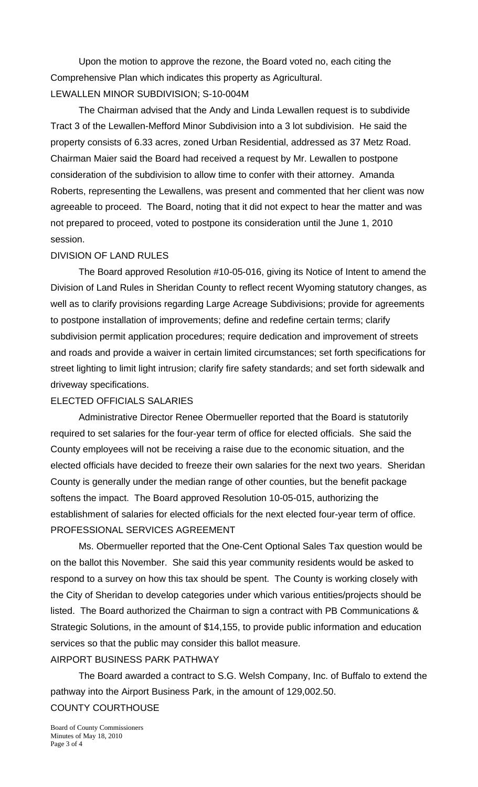Upon the motion to approve the rezone, the Board voted no, each citing the Comprehensive Plan which indicates this property as Agricultural. LEWALLEN MINOR SUBDIVISION; S-10-004M

The Chairman advised that the Andy and Linda Lewallen request is to subdivide Tract 3 of the Lewallen-Mefford Minor Subdivision into a 3 lot subdivision. He said the property consists of 6.33 acres, zoned Urban Residential, addressed as 37 Metz Road. Chairman Maier said the Board had received a request by Mr. Lewallen to postpone consideration of the subdivision to allow time to confer with their attorney. Amanda Roberts, representing the Lewallens, was present and commented that her client was now agreeable to proceed. The Board, noting that it did not expect to hear the matter and was not prepared to proceed, voted to postpone its consideration until the June 1, 2010 session.

## DIVISION OF LAND RULES

 The Board approved Resolution #10-05-016, giving its Notice of Intent to amend the Division of Land Rules in Sheridan County to reflect recent Wyoming statutory changes, as well as to clarify provisions regarding Large Acreage Subdivisions; provide for agreements to postpone installation of improvements; define and redefine certain terms; clarify subdivision permit application procedures; require dedication and improvement of streets and roads and provide a waiver in certain limited circumstances; set forth specifications for street lighting to limit light intrusion; clarify fire safety standards; and set forth sidewalk and driveway specifications.

#### ELECTED OFFICIALS SALARIES

Administrative Director Renee Obermueller reported that the Board is statutorily required to set salaries for the four-year term of office for elected officials. She said the County employees will not be receiving a raise due to the economic situation, and the elected officials have decided to freeze their own salaries for the next two years. Sheridan County is generally under the median range of other counties, but the benefit package softens the impact. The Board approved Resolution 10-05-015, authorizing the establishment of salaries for elected officials for the next elected four-year term of office. PROFESSIONAL SERVICES AGREEMENT

 Ms. Obermueller reported that the One-Cent Optional Sales Tax question would be on the ballot this November. She said this year community residents would be asked to respond to a survey on how this tax should be spent. The County is working closely with the City of Sheridan to develop categories under which various entities/projects should be listed. The Board authorized the Chairman to sign a contract with PB Communications & Strategic Solutions, in the amount of \$14,155, to provide public information and education services so that the public may consider this ballot measure.

# AIRPORT BUSINESS PARK PATHWAY

 The Board awarded a contract to S.G. Welsh Company, Inc. of Buffalo to extend the pathway into the Airport Business Park, in the amount of 129,002.50. COUNTY COURTHOUSE